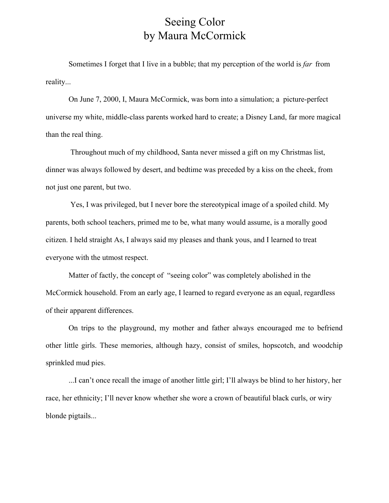## Seeing Color by Maura McCormick

Sometimes I forget that I live in a bubble; that my perception of the world is *far* from reality...

On June 7, 2000, I, Maura McCormick, was born into a simulation; a picture-perfect universe my white, middle-class parents worked hard to create; a Disney Land, far more magical than the real thing.

 Throughout much of my childhood, Santa never missed a gift on my Christmas list, dinner was always followed by desert, and bedtime was preceded by a kiss on the cheek, from not just one parent, but two.

 Yes, I was privileged, but I never bore the stereotypical image of a spoiled child. My parents, both school teachers, primed me to be, what many would assume, is a morally good citizen. I held straight As, I always said my pleases and thank yous, and I learned to treat everyone with the utmost respect.

Matter of factly, the concept of "seeing color" was completely abolished in the McCormick household. From an early age, I learned to regard everyone as an equal, regardless of their apparent differences.

On trips to the playground, my mother and father always encouraged me to befriend other little girls. These memories, although hazy, consist of smiles, hopscotch, and woodchip sprinkled mud pies.

...I can't once recall the image of another little girl; I'll always be blind to her history, her race, her ethnicity; I'll never know whether she wore a crown of beautiful black curls, or wiry blonde pigtails...